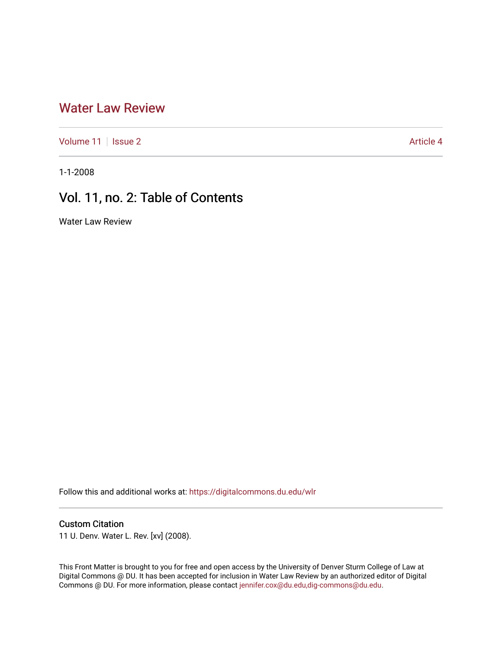# [Water Law Review](https://digitalcommons.du.edu/wlr)

[Volume 11](https://digitalcommons.du.edu/wlr/vol11) | [Issue 2](https://digitalcommons.du.edu/wlr/vol11/iss2) Article 4

1-1-2008

# Vol. 11, no. 2: Table of Contents

Water Law Review

Follow this and additional works at: [https://digitalcommons.du.edu/wlr](https://digitalcommons.du.edu/wlr?utm_source=digitalcommons.du.edu%2Fwlr%2Fvol11%2Fiss2%2F4&utm_medium=PDF&utm_campaign=PDFCoverPages) 

## Custom Citation

11 U. Denv. Water L. Rev. [xv] (2008).

This Front Matter is brought to you for free and open access by the University of Denver Sturm College of Law at Digital Commons @ DU. It has been accepted for inclusion in Water Law Review by an authorized editor of Digital Commons @ DU. For more information, please contact [jennifer.cox@du.edu,dig-commons@du.edu.](mailto:jennifer.cox@du.edu,dig-commons@du.edu)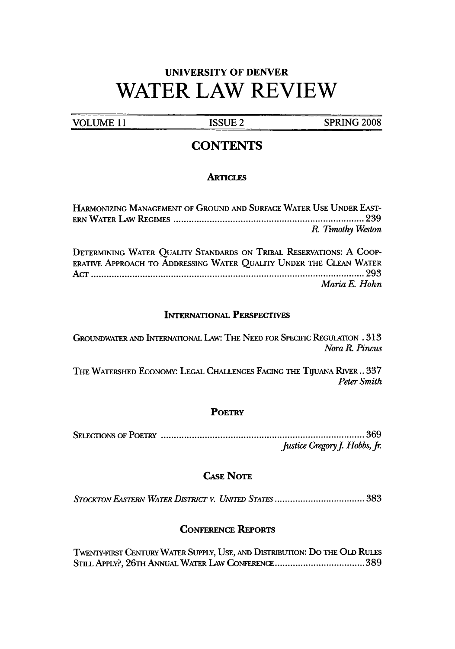# **UNIVERSITY OF DENVER** WATER LAW REVIEW

**VOLUME 11 ISSUE 2 SPRING 2008** 

## **CONTENTS**

### **ARTICLES**

| HARMONIZING MANAGEMENT OF GROUND AND SURFACE WATER USE UNDER EAST-                                                                        |               |
|-------------------------------------------------------------------------------------------------------------------------------------------|---------------|
| R. Timothy Weston                                                                                                                         |               |
| DETERMINING WATER QUALITY STANDARDS ON TRIBAL RESERVATIONS: A COOP-<br>ERATIVE APPROACH TO ADDRESSING WATER QUALITY UNDER THE CLEAN WATER | Maria E. Hohn |

#### **INTERNATIONAL PERSPECTIVES**

GROUNDWATER **AND INTERNATIONAL LAw: THE NEED** FOR **SPECIFIC REGULATION .313** *Nora R. Pincus*

THE WATERSHED ECONOMY: LEGAL CHALLENGES FACING THE TIJUANA RIVER .. 337 *Peter Smith*

#### **POETRY**

SELECTIONS OF POETRY ............................................................................... 369 *Justice Gregory J. Hobbs, Jr.* 

### CASE **NoTE**

*STOCKTON EASTERv WATER DISTRICT v. UNITED STATES ...................................* **383**

### **CoNFERENcE** REPORTS

TWENTY-FIRST CENTURY WATER SUPPLY, USE, AND DISTRIBUTION: DO THE OLD RULES **STILL APPLY?, 26TH ANNUAL** WATER LAW CONFERENCE **................................... 389**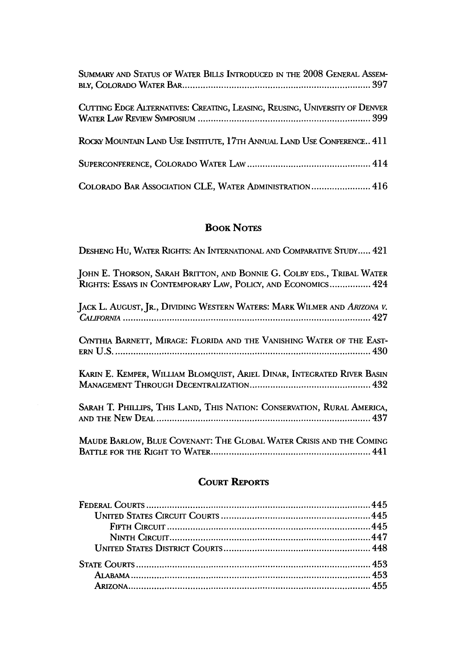| SUMMARY AND STATUS OF WATER BILLS INTRODUCED IN THE 2008 GENERAL ASSEM-     |
|-----------------------------------------------------------------------------|
| CUTTING EDGE ALTERNATIVES: CREATING, LEASING, REUSING, UNIVERSITY OF DENVER |
| ROCKY MOUNTAIN LAND USE INSTITUTE, 17TH ANNUAL LAND USE CONFERENCE 411      |
|                                                                             |
| COLORADO BAR ASSOCIATION CLE, WATER ADMINISTRATION 416                      |

# **BOOK NOTES**

| DESHENG HU, WATER RIGHTS: AN INTERNATIONAL AND COMPARATIVE STUDY 421                                                                    |
|-----------------------------------------------------------------------------------------------------------------------------------------|
| JOHN E. THORSON, SARAH BRITTON, AND BONNIE G. COLBY EDS., TRIBAL WATER<br>RIGHTS: ESSAYS IN CONTEMPORARY LAW, POLICY, AND ECONOMICS 424 |
| JACK L. AUGUST, JR., DIVIDING WESTERN WATERS: MARK WILMER AND ARIZONA V.                                                                |
| CYNTHIA BARNETT, MIRAGE: FLORIDA AND THE VANISHING WATER OF THE EAST-                                                                   |
| KARIN E. KEMPER, WILLIAM BLOMQUIST, ARIEL DINAR, INTEGRATED RIVER BASIN                                                                 |
| SARAH T. PHILLIPS, THIS LAND, THIS NATION: CONSERVATION, RURAL AMERICA,                                                                 |
| MAUDE BARLOW, BLUE COVENANT: THE GLOBAL WATER CRISIS AND THE COMING                                                                     |

## **COURT REPORTS**